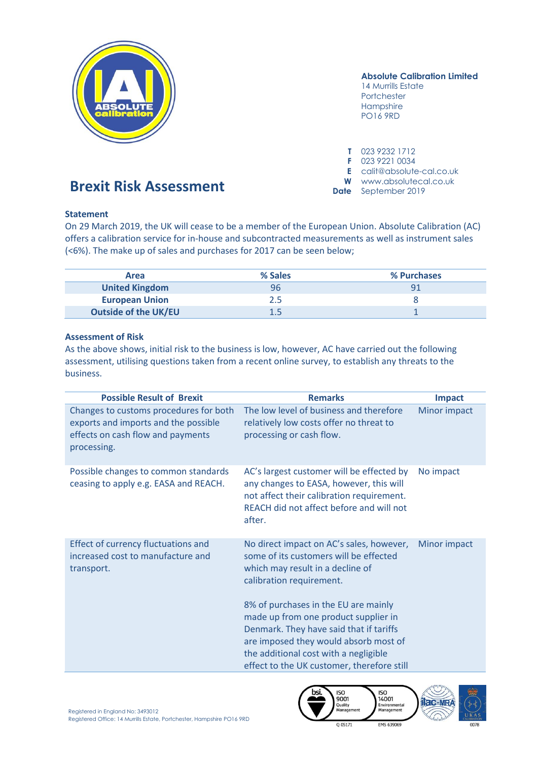

## **Absolute Calibration Limited**

14 Murrills Estate Portchester Hampshire PO16 9RD

**T** 023 9232 1712 **F** 023 9221 0034 **E** calit@absolute-cal.co.uk **W** www.absolutecal.co.uk **Date** September 2019

# **Brexit Risk Assessment**

## **Statement**

On 29 March 2019, the UK will cease to be a member of the European Union. Absolute Calibration (AC) offers a calibration service for in-house and subcontracted measurements as well as instrument sales (<6%). The make up of sales and purchases for 2017 can be seen below;

| Area                        | % Sales | % Purchases |
|-----------------------------|---------|-------------|
| <b>United Kingdom</b>       | 96      | 91          |
| <b>European Union</b>       | 2.5     |             |
| <b>Outside of the UK/EU</b> |         |             |

### **Assessment of Risk**

As the above shows, initial risk to the business is low, however, AC have carried out the following assessment, utilising questions taken from a recent online survey, to establish any threats to the business.

| <b>Possible Result of Brexit</b>                                                                                                   | <b>Remarks</b>                                                                                                                                                                                                                                                                                                                                                                                                | <b>Impact</b> |
|------------------------------------------------------------------------------------------------------------------------------------|---------------------------------------------------------------------------------------------------------------------------------------------------------------------------------------------------------------------------------------------------------------------------------------------------------------------------------------------------------------------------------------------------------------|---------------|
| Changes to customs procedures for both<br>exports and imports and the possible<br>effects on cash flow and payments<br>processing. | The low level of business and therefore<br>relatively low costs offer no threat to<br>processing or cash flow.                                                                                                                                                                                                                                                                                                | Minor impact  |
| Possible changes to common standards<br>ceasing to apply e.g. EASA and REACH.                                                      | AC's largest customer will be effected by<br>any changes to EASA, however, this will<br>not affect their calibration requirement.<br>REACH did not affect before and will not<br>after.                                                                                                                                                                                                                       | No impact     |
| Effect of currency fluctuations and<br>increased cost to manufacture and<br>transport.                                             | No direct impact on AC's sales, however,<br>some of its customers will be effected<br>which may result in a decline of<br>calibration requirement.<br>8% of purchases in the EU are mainly<br>made up from one product supplier in<br>Denmark. They have said that if tariffs<br>are imposed they would absorb most of<br>the additional cost with a negligible<br>effect to the UK customer, therefore still | Minor impact  |